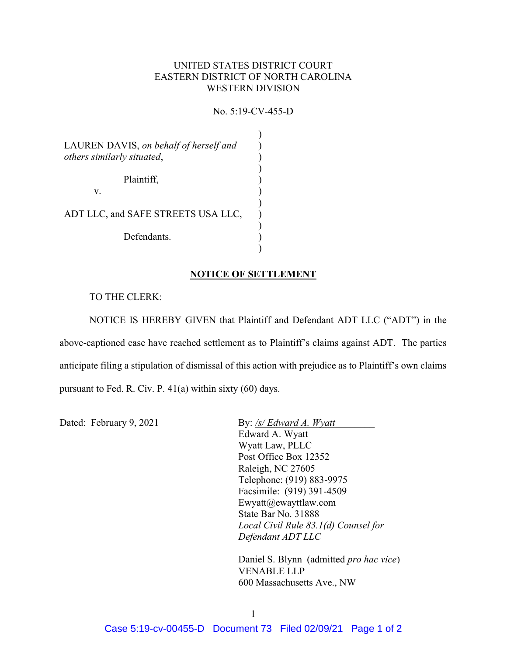## UNITED STATES DISTRICT COURT EASTERN DISTRICT OF NORTH CAROLINA WESTERN DIVISION

# No. 5:19-CV-455-D

| LAUREN DAVIS, on behalf of herself and<br>others similarly situated, |  |
|----------------------------------------------------------------------|--|
| Plaintiff,<br>V.                                                     |  |
| ADT LLC, and SAFE STREETS USA LLC,                                   |  |
| Defendants.                                                          |  |
|                                                                      |  |

#### NOTICE OF SETTLEMENT

#### TO THE CLERK:

 NOTICE IS HEREBY GIVEN that Plaintiff and Defendant ADT LLC ("ADT") in the above-captioned case have reached settlement as to Plaintiff's claims against ADT. The parties anticipate filing a stipulation of dismissal of this action with prejudice as to Plaintiff's own claims pursuant to Fed. R. Civ. P. 41(a) within sixty (60) days.

Dated: February 9, 2021 By: /s/ Edward A. Wyatt Edward A. Wyatt Wyatt Law, PLLC Post Office Box 12352 Raleigh, NC 27605 Telephone: (919) 883-9975 Facsimile: (919) 391-4509 Ewyatt@ewayttlaw.com State Bar No. 31888 Local Civil Rule 83.1(d) Counsel for Defendant ADT LLC

> Daniel S. Blynn (admitted pro hac vice) VENABLE LLP 600 Massachusetts Ave., NW